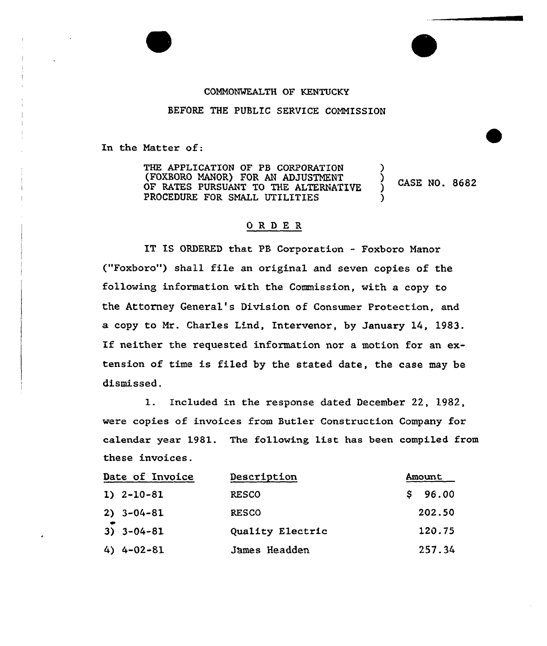## COMMONWEALTH OF KENTUCKY

BEFORE THE PUBLIC SERVICE CONNISSION

In the Natter of:

THE APPLICATION OF PB CORPORATION (FOXSORO MANOR) FOR AN ADJUSTMENT OF RATES PURSUANT TO THE ALTERNATIVE PROCEDURE FOR SMALL UTILITIES ) ) ) CASE NO. 8682 )

## ORDER

IT IS ORDERED that PB Corporation - Foxboro Nanor ("Foxboro") shall file an original and seven copies of the following information with the Commission, with a copy to the Attorney General's Division of Consumer Protection, and a copy to Nr. Charles Lind, Intervenor, by January 14, 1983. If neither the requested information nor a motion for an extension of time is filed by the stated date, the case may be dismissed.

1. Included in the response dated December 22, 1982, were copies of invoices from Butler Construction Company for calendar year 1981. The following list has been compiled from these invoices.

| Date of Invoice  | Description      | Amount  |
|------------------|------------------|---------|
| $1) 2 - 10 - 81$ | <b>RESCO</b>     | \$96.00 |
| $2) 3 - 04 - 81$ | <b>RESCO</b>     | 202.50  |
| $3) 3 - 04 - 81$ | Quality Electric | 120.75  |
| $4)$ 4-02-81     | James Headden    | 257.34  |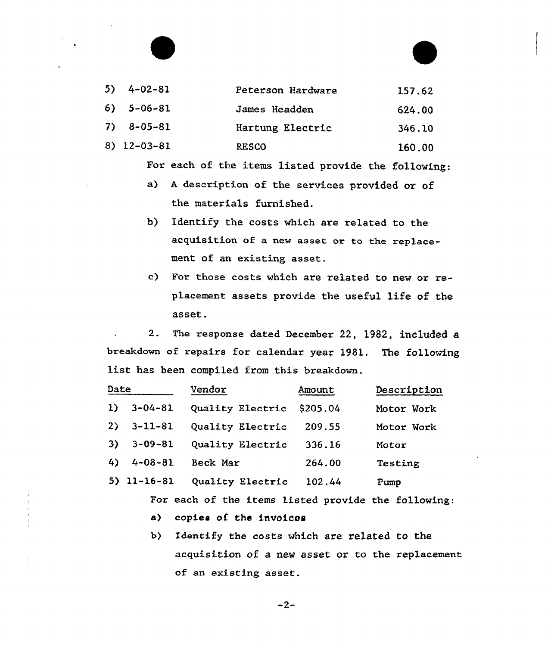| $5) 4 - 02 - 81$ | Peterson Hardware | 157.62 |
|------------------|-------------------|--------|
| $6) 5 - 06 - 81$ | James Headden     | 624.00 |
| $7) 8 - 05 - 81$ | Hartung Electric  | 346.10 |
| $8)$ 12-03-81    | <b>RESCO</b>      | 160.00 |

For each of the items listed provide the following:

- a) <sup>A</sup> description of the services provided or of the materials furnished.
- b) Identify the costs which are related to the acquisition of a new asset or to the replacement of an existing asset.
- c) For those costs which are related to new or replacement assets provide the useful life of the asset.

2. The response dated December 22, 1982, included a breakdown of repairs for calendar year 1981. The following list has been compiled from this breakdown.

| Date     |               | Vendor           | Amount   | Description |
|----------|---------------|------------------|----------|-------------|
| $\bf{1}$ | $3 - 04 - 81$ | Quality Electric | \$205.04 | Motor Work  |
| 2)       | $3 - 11 - 81$ | Quality Electric | 209.55   | Motor Work  |
| 3)       | $3 - 09 - 81$ | Quality Electric | 336.16   | Motor       |
| 4)       | $4 - 08 - 81$ | Beck Mar         | 264.00   | Testing     |
|          | $5)$ 11-16-81 | Quality Electric | 102.44   | Pump        |

For each of the items listed provide the following:

a) copies of the invoices

b) Identify the costs which are related to the acquisition of a new asset or to the replacement of an existing asset.

 $-2-$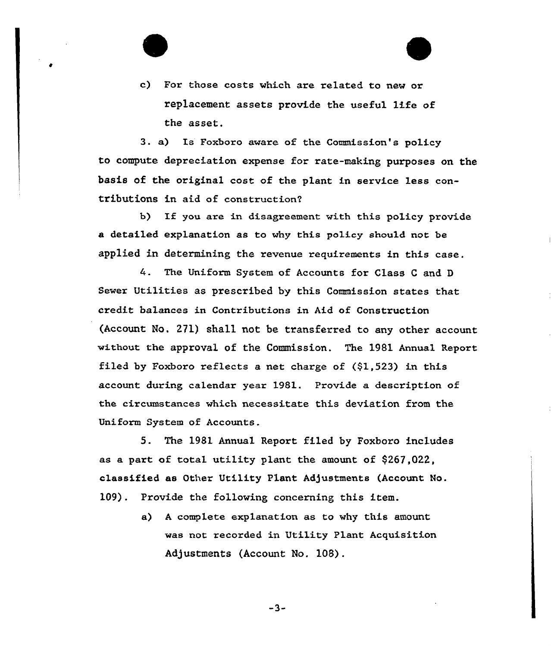c) For those costs which are related to new or replacement assets provide the useful 1ife of the asset.

3. a) Is Foxboro aware of the Commission's policy to compute depreciation expense for rate-making purposes on the basis of the original cost of the plant in service less contributions in aid of construction?

b) If you are in disagreement with this policy provide a detailed explanation as to why this policy should not be applied in determining the revenue requirements in this case.

The Uniform System of Accounts for Class <sup>C</sup> and <sup>D</sup> Sewer Utilities as prescribed by this Commission states that credit balances in Contributions in Aid of Construction (Account No. 271) shall not be transferred to any other account without the approval of the Commission. The 1981 Annual Report filed by Foxboro reflects a net charge of (\$1,523) in this account during calendar year 1981. Provide a description of the circumstances which necessitate this deviation from the Uniform System of Accounts.

5. The 1981 Annual Report filed by Foxboro includes as a part of total utility plant the amount of \$267,022, classified as Other Utility Plant Adjustments (Account No. 109). Provide the following concerning this item.

> a) <sup>A</sup> complete explanation as to why this amount was not recorded in Utility Plant Acquisition Adjustments (Account No. 108).

> > $-3-$